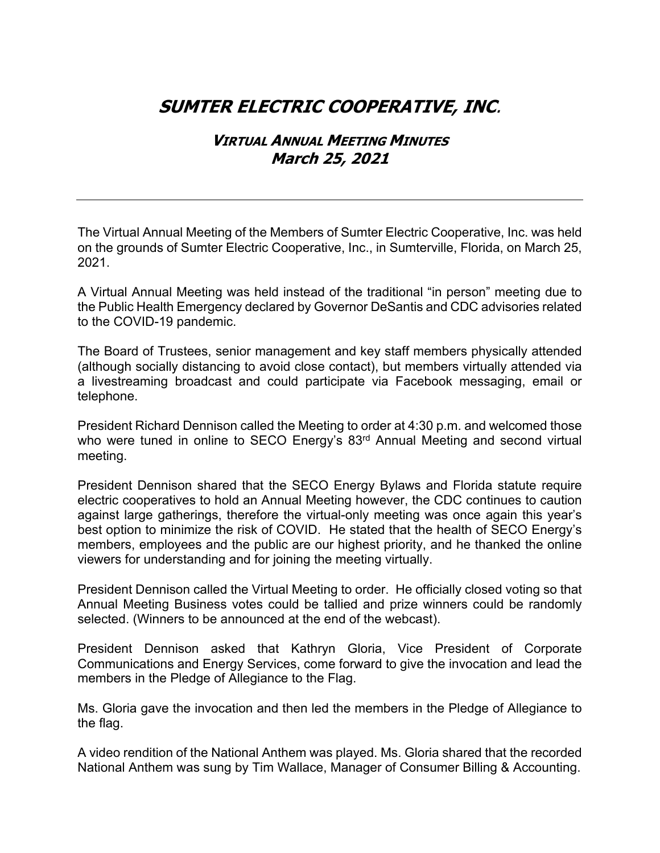## **SUMTER ELECTRIC COOPERATIVE, INC**.

## **VIRTUAL ANNUAL MEETING MINUTES March 25, 2021**

The Virtual Annual Meeting of the Members of Sumter Electric Cooperative, Inc. was held on the grounds of Sumter Electric Cooperative, Inc., in Sumterville, Florida, on March 25, 2021.

A Virtual Annual Meeting was held instead of the traditional "in person" meeting due to the Public Health Emergency declared by Governor DeSantis and CDC advisories related to the COVID-19 pandemic.

The Board of Trustees, senior management and key staff members physically attended (although socially distancing to avoid close contact), but members virtually attended via a livestreaming broadcast and could participate via Facebook messaging, email or telephone.

President Richard Dennison called the Meeting to order at 4:30 p.m. and welcomed those who were tuned in online to SECO Energy's 83<sup>rd</sup> Annual Meeting and second virtual meeting.

President Dennison shared that the SECO Energy Bylaws and Florida statute require electric cooperatives to hold an Annual Meeting however, the CDC continues to caution against large gatherings, therefore the virtual-only meeting was once again this year's best option to minimize the risk of COVID. He stated that the health of SECO Energy's members, employees and the public are our highest priority, and he thanked the online viewers for understanding and for joining the meeting virtually.

President Dennison called the Virtual Meeting to order. He officially closed voting so that Annual Meeting Business votes could be tallied and prize winners could be randomly selected. (Winners to be announced at the end of the webcast).

President Dennison asked that Kathryn Gloria, Vice President of Corporate Communications and Energy Services, come forward to give the invocation and lead the members in the Pledge of Allegiance to the Flag.

Ms. Gloria gave the invocation and then led the members in the Pledge of Allegiance to the flag.

A video rendition of the National Anthem was played. Ms. Gloria shared that the recorded National Anthem was sung by Tim Wallace, Manager of Consumer Billing & Accounting.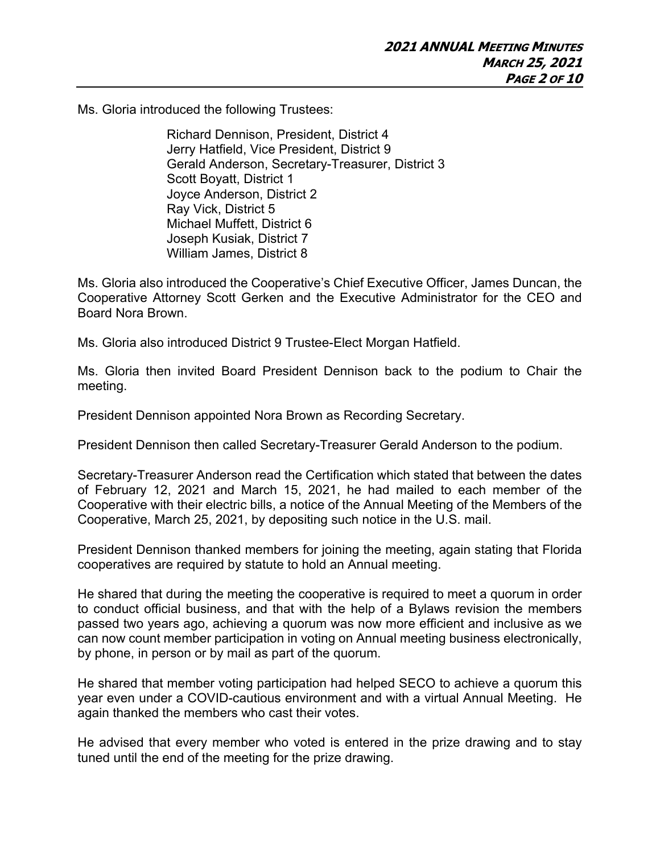Ms. Gloria introduced the following Trustees:

Richard Dennison, President, District 4 Jerry Hatfield, Vice President, District 9 Gerald Anderson, Secretary-Treasurer, District 3 Scott Boyatt, District 1 Joyce Anderson, District 2 Ray Vick, District 5 Michael Muffett, District 6 Joseph Kusiak, District 7 William James, District 8

Ms. Gloria also introduced the Cooperative's Chief Executive Officer, James Duncan, the Cooperative Attorney Scott Gerken and the Executive Administrator for the CEO and Board Nora Brown.

Ms. Gloria also introduced District 9 Trustee-Elect Morgan Hatfield.

Ms. Gloria then invited Board President Dennison back to the podium to Chair the meeting.

President Dennison appointed Nora Brown as Recording Secretary.

President Dennison then called Secretary-Treasurer Gerald Anderson to the podium.

Secretary-Treasurer Anderson read the Certification which stated that between the dates of February 12, 2021 and March 15, 2021, he had mailed to each member of the Cooperative with their electric bills, a notice of the Annual Meeting of the Members of the Cooperative, March 25, 2021, by depositing such notice in the U.S. mail.

President Dennison thanked members for joining the meeting, again stating that Florida cooperatives are required by statute to hold an Annual meeting.

He shared that during the meeting the cooperative is required to meet a quorum in order to conduct official business, and that with the help of a Bylaws revision the members passed two years ago, achieving a quorum was now more efficient and inclusive as we can now count member participation in voting on Annual meeting business electronically, by phone, in person or by mail as part of the quorum.

He shared that member voting participation had helped SECO to achieve a quorum this year even under a COVID-cautious environment and with a virtual Annual Meeting. He again thanked the members who cast their votes.

He advised that every member who voted is entered in the prize drawing and to stay tuned until the end of the meeting for the prize drawing.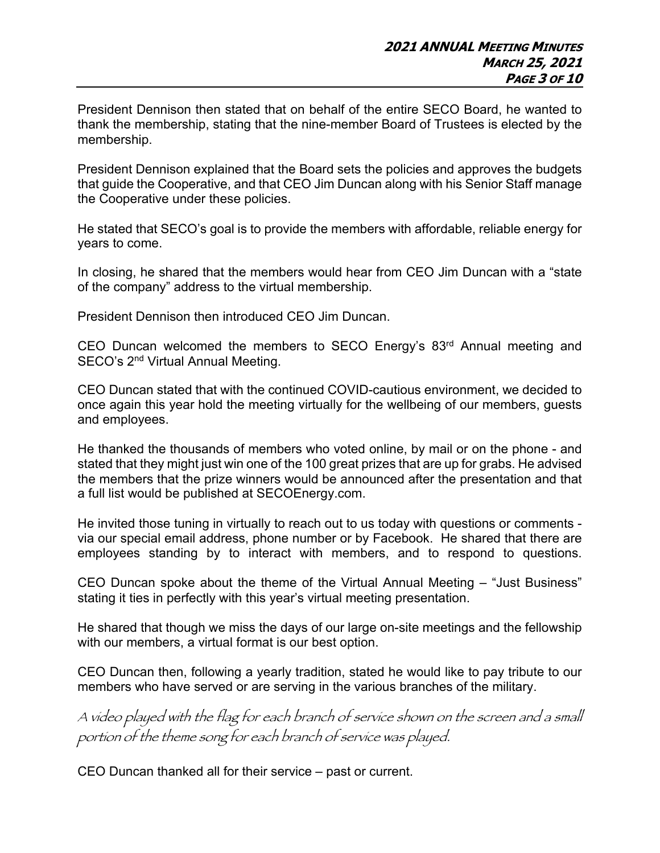President Dennison then stated that on behalf of the entire SECO Board, he wanted to thank the membership, stating that the nine-member Board of Trustees is elected by the membership.

President Dennison explained that the Board sets the policies and approves the budgets that guide the Cooperative, and that CEO Jim Duncan along with his Senior Staff manage the Cooperative under these policies.

He stated that SECO's goal is to provide the members with affordable, reliable energy for years to come.

In closing, he shared that the members would hear from CEO Jim Duncan with a "state of the company" address to the virtual membership.

President Dennison then introduced CEO Jim Duncan.

CEO Duncan welcomed the members to SECO Energy's 83rd Annual meeting and SECO's 2<sup>nd</sup> Virtual Annual Meeting.

CEO Duncan stated that with the continued COVID-cautious environment, we decided to once again this year hold the meeting virtually for the wellbeing of our members, guests and employees.

He thanked the thousands of members who voted online, by mail or on the phone - and stated that they might just win one of the 100 great prizes that are up for grabs. He advised the members that the prize winners would be announced after the presentation and that a full list would be published at SECOEnergy.com.

He invited those tuning in virtually to reach out to us today with questions or comments via our special email address, phone number or by Facebook. He shared that there are employees standing by to interact with members, and to respond to questions.

CEO Duncan spoke about the theme of the Virtual Annual Meeting – "Just Business" stating it ties in perfectly with this year's virtual meeting presentation.

He shared that though we miss the days of our large on-site meetings and the fellowship with our members, a virtual format is our best option.

CEO Duncan then, following a yearly tradition, stated he would like to pay tribute to our members who have served or are serving in the various branches of the military.

A video played with the flag for each branch of service shown on the screen and a small portion of the theme song for each branch of service was played.

CEO Duncan thanked all for their service – past or current.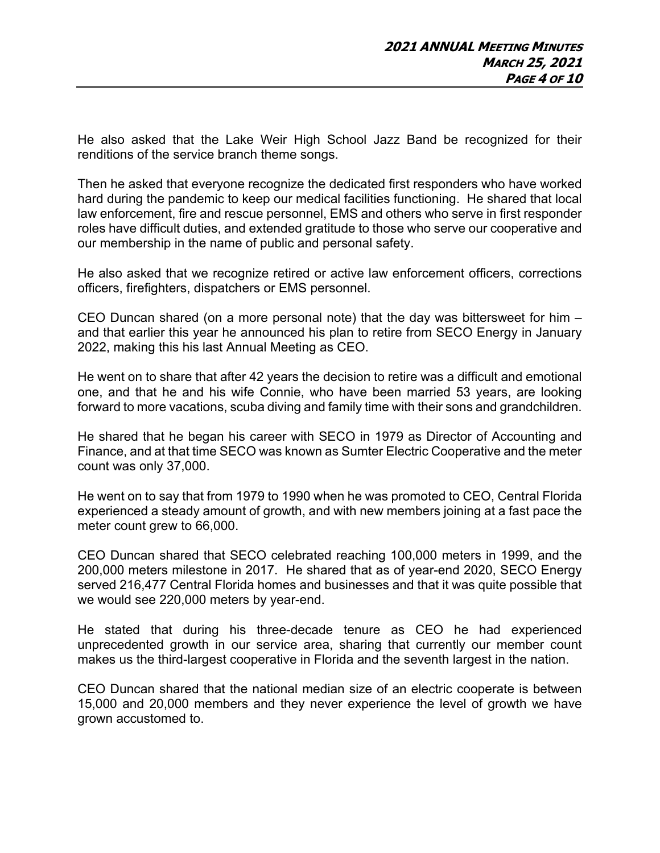He also asked that the Lake Weir High School Jazz Band be recognized for their renditions of the service branch theme songs.

Then he asked that everyone recognize the dedicated first responders who have worked hard during the pandemic to keep our medical facilities functioning. He shared that local law enforcement, fire and rescue personnel, EMS and others who serve in first responder roles have difficult duties, and extended gratitude to those who serve our cooperative and our membership in the name of public and personal safety.

He also asked that we recognize retired or active law enforcement officers, corrections officers, firefighters, dispatchers or EMS personnel.

CEO Duncan shared (on a more personal note) that the day was bittersweet for him – and that earlier this year he announced his plan to retire from SECO Energy in January 2022, making this his last Annual Meeting as CEO.

He went on to share that after 42 years the decision to retire was a difficult and emotional one, and that he and his wife Connie, who have been married 53 years, are looking forward to more vacations, scuba diving and family time with their sons and grandchildren.

He shared that he began his career with SECO in 1979 as Director of Accounting and Finance, and at that time SECO was known as Sumter Electric Cooperative and the meter count was only 37,000.

He went on to say that from 1979 to 1990 when he was promoted to CEO, Central Florida experienced a steady amount of growth, and with new members joining at a fast pace the meter count grew to 66,000.

CEO Duncan shared that SECO celebrated reaching 100,000 meters in 1999, and the 200,000 meters milestone in 2017. He shared that as of year-end 2020, SECO Energy served 216,477 Central Florida homes and businesses and that it was quite possible that we would see 220,000 meters by year-end.

He stated that during his three-decade tenure as CEO he had experienced unprecedented growth in our service area, sharing that currently our member count makes us the third-largest cooperative in Florida and the seventh largest in the nation.

CEO Duncan shared that the national median size of an electric cooperate is between 15,000 and 20,000 members and they never experience the level of growth we have grown accustomed to.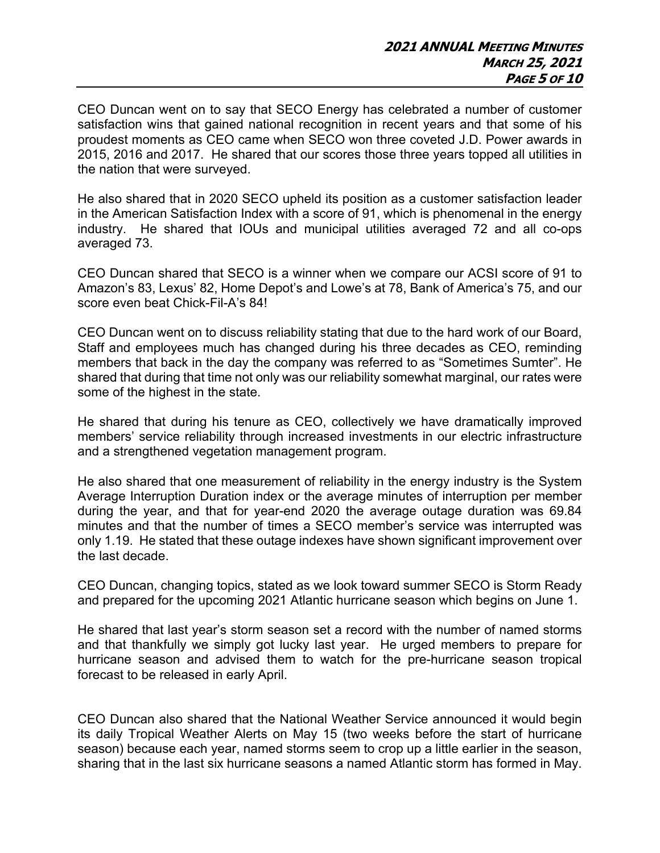CEO Duncan went on to say that SECO Energy has celebrated a number of customer satisfaction wins that gained national recognition in recent years and that some of his proudest moments as CEO came when SECO won three coveted J.D. Power awards in 2015, 2016 and 2017. He shared that our scores those three years topped all utilities in the nation that were surveyed.

He also shared that in 2020 SECO upheld its position as a customer satisfaction leader in the American Satisfaction Index with a score of 91, which is phenomenal in the energy industry. He shared that IOUs and municipal utilities averaged 72 and all co-ops averaged 73.

CEO Duncan shared that SECO is a winner when we compare our ACSI score of 91 to Amazon's 83, Lexus' 82, Home Depot's and Lowe's at 78, Bank of America's 75, and our score even beat Chick-Fil-A's 84!

CEO Duncan went on to discuss reliability stating that due to the hard work of our Board, Staff and employees much has changed during his three decades as CEO, reminding members that back in the day the company was referred to as "Sometimes Sumter". He shared that during that time not only was our reliability somewhat marginal, our rates were some of the highest in the state.

He shared that during his tenure as CEO, collectively we have dramatically improved members' service reliability through increased investments in our electric infrastructure and a strengthened vegetation management program.

He also shared that one measurement of reliability in the energy industry is the System Average Interruption Duration index or the average minutes of interruption per member during the year, and that for year-end 2020 the average outage duration was 69.84 minutes and that the number of times a SECO member's service was interrupted was only 1.19. He stated that these outage indexes have shown significant improvement over the last decade.

CEO Duncan, changing topics, stated as we look toward summer SECO is Storm Ready and prepared for the upcoming 2021 Atlantic hurricane season which begins on June 1.

He shared that last year's storm season set a record with the number of named storms and that thankfully we simply got lucky last year. He urged members to prepare for hurricane season and advised them to watch for the pre-hurricane season tropical forecast to be released in early April.

CEO Duncan also shared that the National Weather Service announced it would begin its daily Tropical Weather Alerts on May 15 (two weeks before the start of hurricane season) because each year, named storms seem to crop up a little earlier in the season, sharing that in the last six hurricane seasons a named Atlantic storm has formed in May.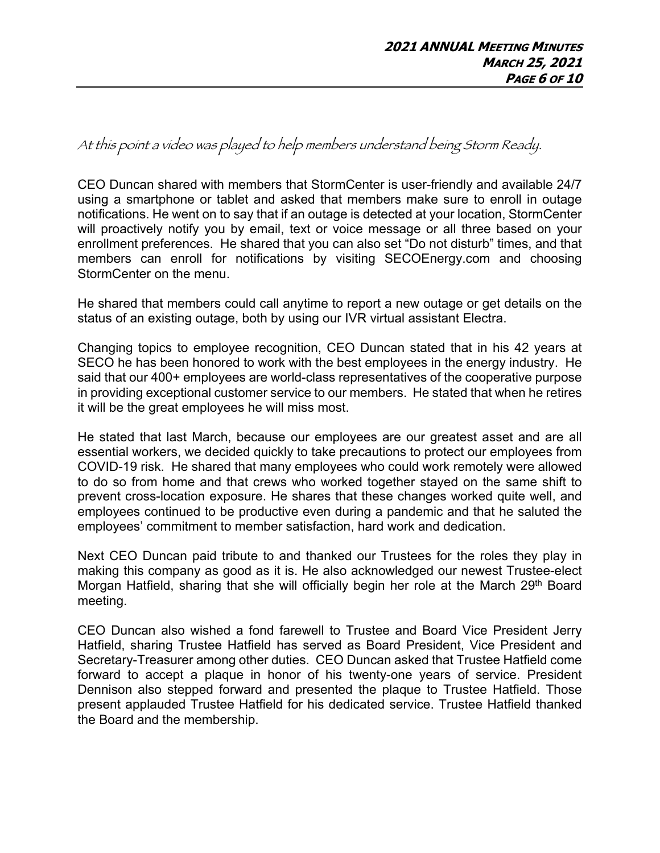At this point a video was played to help members understand being Storm Ready.

CEO Duncan shared with members that StormCenter is user-friendly and available 24/7 using a smartphone or tablet and asked that members make sure to enroll in outage notifications. He went on to say that if an outage is detected at your location, StormCenter will proactively notify you by email, text or voice message or all three based on your enrollment preferences. He shared that you can also set "Do not disturb" times, and that members can enroll for notifications by visiting SECOEnergy.com and choosing StormCenter on the menu.

He shared that members could call anytime to report a new outage or get details on the status of an existing outage, both by using our IVR virtual assistant Electra.

Changing topics to employee recognition, CEO Duncan stated that in his 42 years at SECO he has been honored to work with the best employees in the energy industry. He said that our 400+ employees are world-class representatives of the cooperative purpose in providing exceptional customer service to our members. He stated that when he retires it will be the great employees he will miss most.

He stated that last March, because our employees are our greatest asset and are all essential workers, we decided quickly to take precautions to protect our employees from COVID-19 risk. He shared that many employees who could work remotely were allowed to do so from home and that crews who worked together stayed on the same shift to prevent cross-location exposure. He shares that these changes worked quite well, and employees continued to be productive even during a pandemic and that he saluted the employees' commitment to member satisfaction, hard work and dedication.

Next CEO Duncan paid tribute to and thanked our Trustees for the roles they play in making this company as good as it is. He also acknowledged our newest Trustee-elect Morgan Hatfield, sharing that she will officially begin her role at the March 29<sup>th</sup> Board meeting.

CEO Duncan also wished a fond farewell to Trustee and Board Vice President Jerry Hatfield, sharing Trustee Hatfield has served as Board President, Vice President and Secretary-Treasurer among other duties. CEO Duncan asked that Trustee Hatfield come forward to accept a plaque in honor of his twenty-one years of service. President Dennison also stepped forward and presented the plaque to Trustee Hatfield. Those present applauded Trustee Hatfield for his dedicated service. Trustee Hatfield thanked the Board and the membership.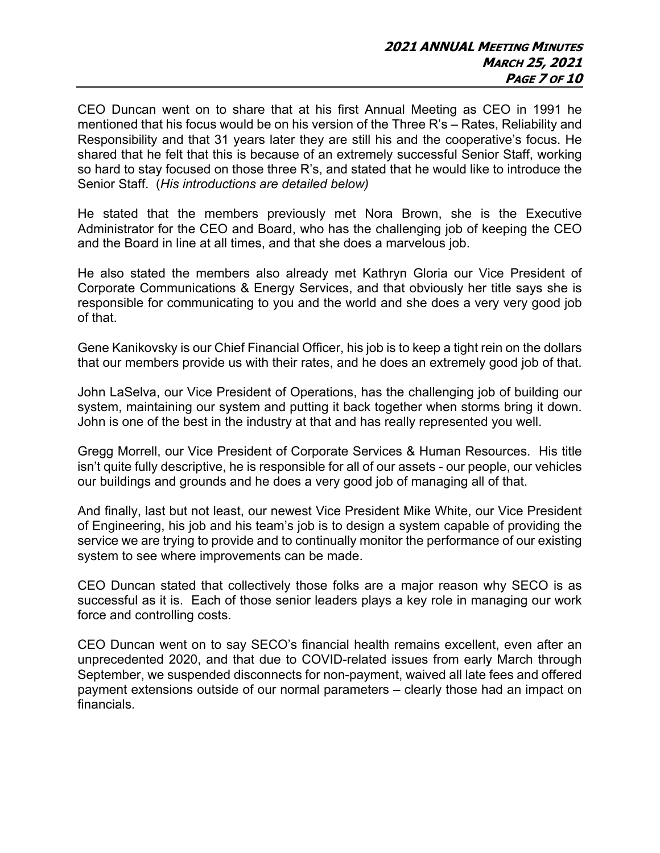CEO Duncan went on to share that at his first Annual Meeting as CEO in 1991 he mentioned that his focus would be on his version of the Three R's – Rates, Reliability and Responsibility and that 31 years later they are still his and the cooperative's focus. He shared that he felt that this is because of an extremely successful Senior Staff, working so hard to stay focused on those three R's, and stated that he would like to introduce the Senior Staff. (*His introductions are detailed below)*

He stated that the members previously met Nora Brown, she is the Executive Administrator for the CEO and Board, who has the challenging job of keeping the CEO and the Board in line at all times, and that she does a marvelous job.

He also stated the members also already met Kathryn Gloria our Vice President of Corporate Communications & Energy Services, and that obviously her title says she is responsible for communicating to you and the world and she does a very very good job of that.

Gene Kanikovsky is our Chief Financial Officer, his job is to keep a tight rein on the dollars that our members provide us with their rates, and he does an extremely good job of that.

John LaSelva, our Vice President of Operations, has the challenging job of building our system, maintaining our system and putting it back together when storms bring it down. John is one of the best in the industry at that and has really represented you well.

Gregg Morrell, our Vice President of Corporate Services & Human Resources. His title isn't quite fully descriptive, he is responsible for all of our assets - our people, our vehicles our buildings and grounds and he does a very good job of managing all of that.

And finally, last but not least, our newest Vice President Mike White, our Vice President of Engineering, his job and his team's job is to design a system capable of providing the service we are trying to provide and to continually monitor the performance of our existing system to see where improvements can be made.

CEO Duncan stated that collectively those folks are a major reason why SECO is as successful as it is. Each of those senior leaders plays a key role in managing our work force and controlling costs.

CEO Duncan went on to say SECO's financial health remains excellent, even after an unprecedented 2020, and that due to COVID-related issues from early March through September, we suspended disconnects for non-payment, waived all late fees and offered payment extensions outside of our normal parameters – clearly those had an impact on financials.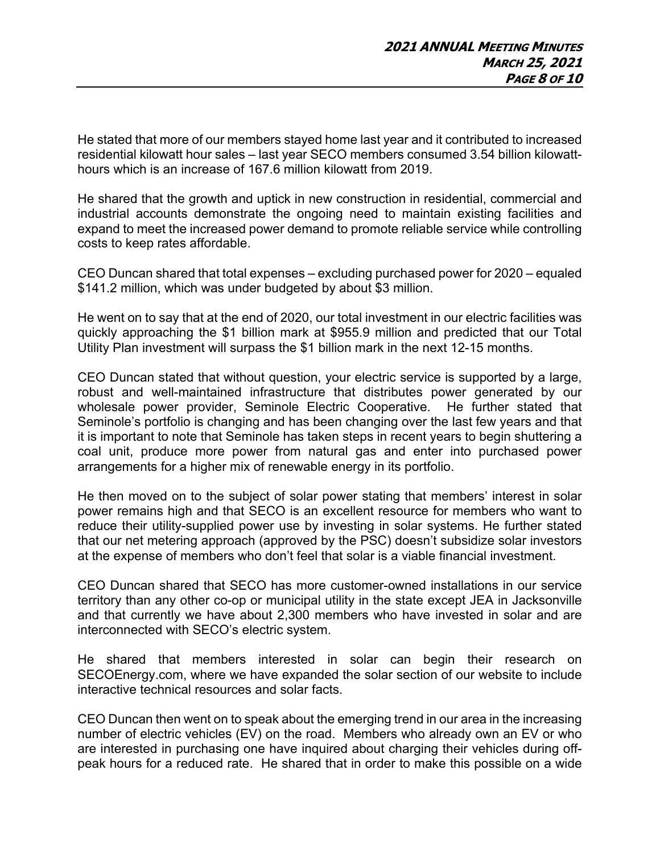He stated that more of our members stayed home last year and it contributed to increased residential kilowatt hour sales – last year SECO members consumed 3.54 billion kilowatthours which is an increase of 167.6 million kilowatt from 2019.

He shared that the growth and uptick in new construction in residential, commercial and industrial accounts demonstrate the ongoing need to maintain existing facilities and expand to meet the increased power demand to promote reliable service while controlling costs to keep rates affordable.

CEO Duncan shared that total expenses – excluding purchased power for 2020 – equaled \$141.2 million, which was under budgeted by about \$3 million.

He went on to say that at the end of 2020, our total investment in our electric facilities was quickly approaching the \$1 billion mark at \$955.9 million and predicted that our Total Utility Plan investment will surpass the \$1 billion mark in the next 12-15 months.

CEO Duncan stated that without question, your electric service is supported by a large, robust and well-maintained infrastructure that distributes power generated by our wholesale power provider, Seminole Electric Cooperative. He further stated that Seminole's portfolio is changing and has been changing over the last few years and that it is important to note that Seminole has taken steps in recent years to begin shuttering a coal unit, produce more power from natural gas and enter into purchased power arrangements for a higher mix of renewable energy in its portfolio.

He then moved on to the subject of solar power stating that members' interest in solar power remains high and that SECO is an excellent resource for members who want to reduce their utility-supplied power use by investing in solar systems. He further stated that our net metering approach (approved by the PSC) doesn't subsidize solar investors at the expense of members who don't feel that solar is a viable financial investment.

CEO Duncan shared that SECO has more customer-owned installations in our service territory than any other co-op or municipal utility in the state except JEA in Jacksonville and that currently we have about 2,300 members who have invested in solar and are interconnected with SECO's electric system.

He shared that members interested in solar can begin their research on SECOEnergy.com, where we have expanded the solar section of our website to include interactive technical resources and solar facts.

CEO Duncan then went on to speak about the emerging trend in our area in the increasing number of electric vehicles (EV) on the road. Members who already own an EV or who are interested in purchasing one have inquired about charging their vehicles during offpeak hours for a reduced rate. He shared that in order to make this possible on a wide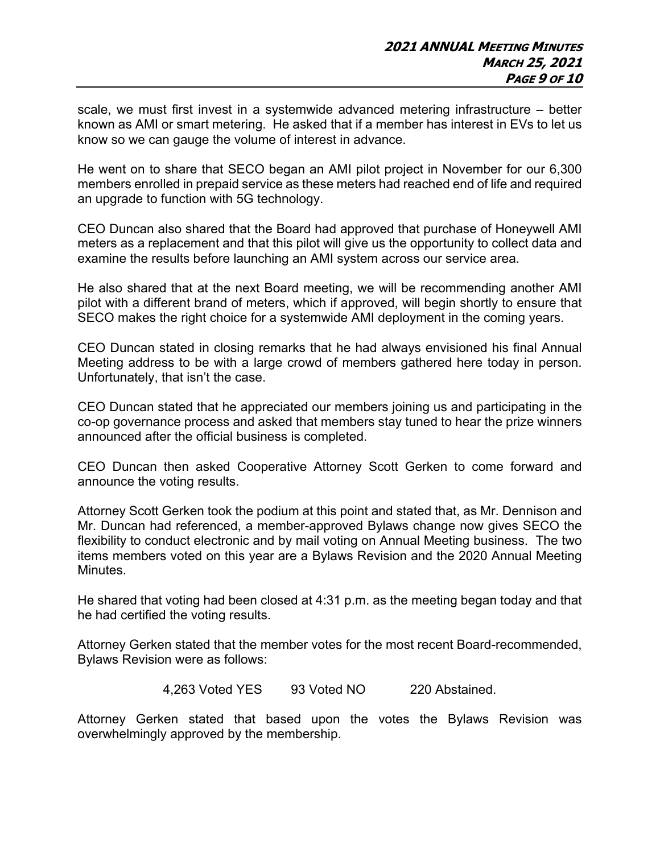scale, we must first invest in a systemwide advanced metering infrastructure – better known as AMI or smart metering. He asked that if a member has interest in EVs to let us know so we can gauge the volume of interest in advance.

He went on to share that SECO began an AMI pilot project in November for our 6,300 members enrolled in prepaid service as these meters had reached end of life and required an upgrade to function with 5G technology.

CEO Duncan also shared that the Board had approved that purchase of Honeywell AMI meters as a replacement and that this pilot will give us the opportunity to collect data and examine the results before launching an AMI system across our service area.

He also shared that at the next Board meeting, we will be recommending another AMI pilot with a different brand of meters, which if approved, will begin shortly to ensure that SECO makes the right choice for a systemwide AMI deployment in the coming years.

CEO Duncan stated in closing remarks that he had always envisioned his final Annual Meeting address to be with a large crowd of members gathered here today in person. Unfortunately, that isn't the case.

CEO Duncan stated that he appreciated our members joining us and participating in the co-op governance process and asked that members stay tuned to hear the prize winners announced after the official business is completed.

CEO Duncan then asked Cooperative Attorney Scott Gerken to come forward and announce the voting results.

Attorney Scott Gerken took the podium at this point and stated that, as Mr. Dennison and Mr. Duncan had referenced, a member-approved Bylaws change now gives SECO the flexibility to conduct electronic and by mail voting on Annual Meeting business. The two items members voted on this year are a Bylaws Revision and the 2020 Annual Meeting Minutes.

He shared that voting had been closed at 4:31 p.m. as the meeting began today and that he had certified the voting results.

Attorney Gerken stated that the member votes for the most recent Board-recommended, Bylaws Revision were as follows:

4,263 Voted YES 93 Voted NO 220 Abstained.

Attorney Gerken stated that based upon the votes the Bylaws Revision was overwhelmingly approved by the membership.